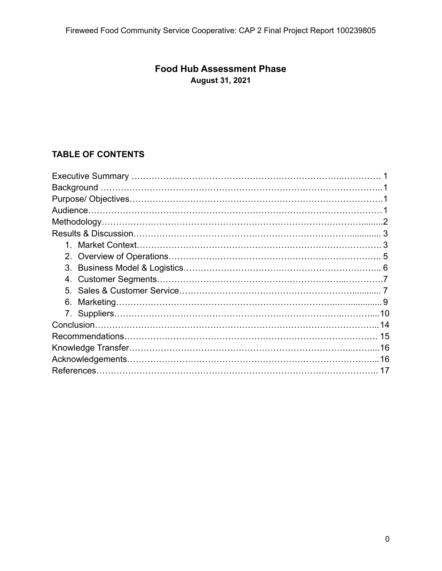# **Food Hub Assessment Phase August 31, 2021**

# **TABLE OF CONTENTS**

| 4. |
|----|
| 5  |
| 6. |
|    |
|    |
|    |
|    |
|    |
|    |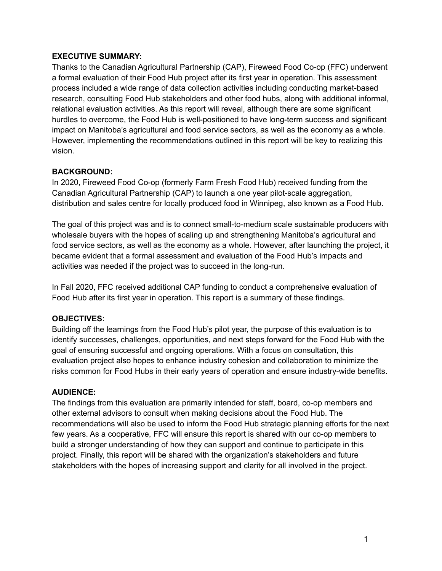### **EXECUTIVE SUMMARY:**

Thanks to the Canadian Agricultural Partnership (CAP), Fireweed Food Co-op (FFC) underwent a formal evaluation of their Food Hub project after its first year in operation. This assessment process included a wide range of data collection activities including conducting market-based research, consulting Food Hub stakeholders and other food hubs, along with additional informal, relational evaluation activities. As this report will reveal, although there are some significant hurdles to overcome, the Food Hub is well-positioned to have long-term success and significant impact on Manitoba's agricultural and food service sectors, as well as the economy as a whole. However, implementing the recommendations outlined in this report will be key to realizing this vision.

### **BACKGROUND:**

In 2020, Fireweed Food Co-op (formerly Farm Fresh Food Hub) received funding from the Canadian Agricultural Partnership (CAP) to launch a one year pilot-scale aggregation, distribution and sales centre for locally produced food in Winnipeg, also known as a Food Hub.

The goal of this project was and is to connect small-to-medium scale sustainable producers with wholesale buyers with the hopes of scaling up and strengthening Manitoba's agricultural and food service sectors, as well as the economy as a whole. However, after launching the project, it became evident that a formal assessment and evaluation of the Food Hub's impacts and activities was needed if the project was to succeed in the long-run.

In Fall 2020, FFC received additional CAP funding to conduct a comprehensive evaluation of Food Hub after its first year in operation. This report is a summary of these findings.

### **OBJECTIVES:**

Building off the learnings from the Food Hub's pilot year, the purpose of this evaluation is to identify successes, challenges, opportunities, and next steps forward for the Food Hub with the goal of ensuring successful and ongoing operations. With a focus on consultation, this evaluation project also hopes to enhance industry cohesion and collaboration to minimize the risks common for Food Hubs in their early years of operation and ensure industry-wide benefits.

### **AUDIENCE:**

The findings from this evaluation are primarily intended for staff, board, co-op members and other external advisors to consult when making decisions about the Food Hub. The recommendations will also be used to inform the Food Hub strategic planning efforts for the next few years. As a cooperative, FFC will ensure this report is shared with our co-op members to build a stronger understanding of how they can support and continue to participate in this project. Finally, this report will be shared with the organization's stakeholders and future stakeholders with the hopes of increasing support and clarity for all involved in the project.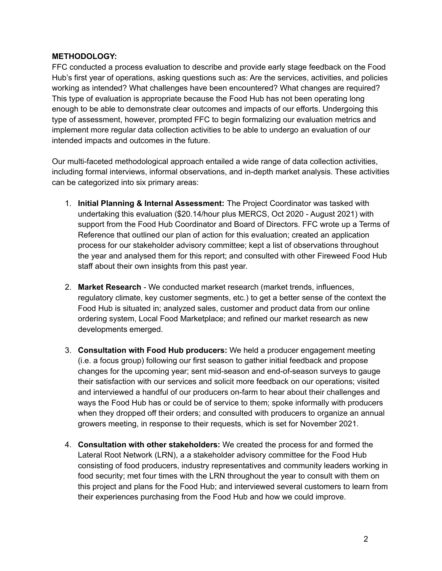### **METHODOLOGY:**

FFC conducted a process evaluation to describe and provide early stage feedback on the Food Hub's first year of operations, asking questions such as: Are the services, activities, and policies working as intended? What challenges have been encountered? What changes are required? This type of evaluation is appropriate because the Food Hub has not been operating long enough to be able to demonstrate clear outcomes and impacts of our efforts. Undergoing this type of assessment, however, prompted FFC to begin formalizing our evaluation metrics and implement more regular data collection activities to be able to undergo an evaluation of our intended impacts and outcomes in the future.

Our multi-faceted methodological approach entailed a wide range of data collection activities, including formal interviews, informal observations, and in-depth market analysis. These activities can be categorized into six primary areas:

- 1. **Initial Planning & Internal Assessment:** The Project Coordinator was tasked with undertaking this evaluation (\$20.14/hour plus MERCS, Oct 2020 - August 2021) with support from the Food Hub Coordinator and Board of Directors. FFC wrote up a Terms of Reference that outlined our plan of action for this evaluation; created an application process for our stakeholder advisory committee; kept a list of observations throughout the year and analysed them for this report; and consulted with other Fireweed Food Hub staff about their own insights from this past year.
- 2. **Market Research** We conducted market research (market trends, influences, regulatory climate, key customer segments, etc.) to get a better sense of the context the Food Hub is situated in; analyzed sales, customer and product data from our online ordering system, Local Food Marketplace; and refined our market research as new developments emerged.
- 3. **Consultation with Food Hub producers:** We held a producer engagement meeting (i.e. a focus group) following our first season to gather initial feedback and propose changes for the upcoming year; sent mid-season and end-of-season surveys to gauge their satisfaction with our services and solicit more feedback on our operations; visited and interviewed a handful of our producers on-farm to hear about their challenges and ways the Food Hub has or could be of service to them; spoke informally with producers when they dropped off their orders; and consulted with producers to organize an annual growers meeting, in response to their requests, which is set for November 2021.
- 4. **Consultation with other stakeholders:** We created the process for and formed the Lateral Root Network (LRN), a a stakeholder advisory committee for the Food Hub consisting of food producers, industry representatives and community leaders working in food security; met four times with the LRN throughout the year to consult with them on this project and plans for the Food Hub; and interviewed several customers to learn from their experiences purchasing from the Food Hub and how we could improve.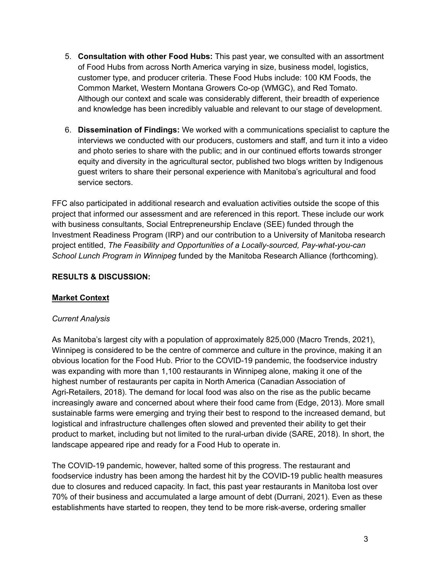- 5. **Consultation with other Food Hubs:** This past year, we consulted with an assortment of Food Hubs from across North America varying in size, business model, logistics, customer type, and producer criteria. These Food Hubs include: 100 KM Foods, the Common Market, Western Montana Growers Co-op (WMGC), and Red Tomato. Although our context and scale was considerably different, their breadth of experience and knowledge has been incredibly valuable and relevant to our stage of development.
- 6. **Dissemination of Findings:** We worked with a communications specialist to capture the interviews we conducted with our producers, customers and staff, and turn it into a video and photo series to share with the public; and in our continued efforts towards stronger equity and diversity in the agricultural sector, published two blogs written by Indigenous guest writers to share their personal experience with Manitoba's agricultural and food service sectors.

FFC also participated in additional research and evaluation activities outside the scope of this project that informed our assessment and are referenced in this report. These include our work with business consultants, Social Entrepreneurship Enclave (SEE) funded through the Investment Readiness Program (IRP) and our contribution to a University of Manitoba research project entitled, *The Feasibility and Opportunities of a Locally-sourced, Pay-what-you-can School Lunch Program in Winnipeg* funded by the Manitoba Research Alliance (forthcoming).

### **RESULTS & DISCUSSION:**

### **Market Context**

#### *Current Analysis*

As Manitoba's largest city with a population of approximately 825,000 (Macro Trends, 2021), Winnipeg is considered to be the centre of commerce and culture in the province, making it an obvious location for the Food Hub. Prior to the COVID-19 pandemic, the foodservice industry was expanding with more than 1,100 restaurants in Winnipeg alone, making it one of the highest number of restaurants per capita in North America (Canadian Association of Agri-Retailers, 2018). The demand for local food was also on the rise as the public became increasingly aware and concerned about where their food came from (Edge, 2013). More small sustainable farms were emerging and trying their best to respond to the increased demand, but logistical and infrastructure challenges often slowed and prevented their ability to get their product to market, including but not limited to the rural-urban divide (SARE, 2018). In short, the landscape appeared ripe and ready for a Food Hub to operate in.

The COVID-19 pandemic, however, halted some of this progress. The restaurant and foodservice industry has been among the hardest hit by the COVID-19 public health measures due to closures and reduced capacity. In fact, this past year restaurants in Manitoba lost over 70% of their business and accumulated a large amount of debt (Durrani, 2021). Even as these establishments have started to reopen, they tend to be more risk-averse, ordering smaller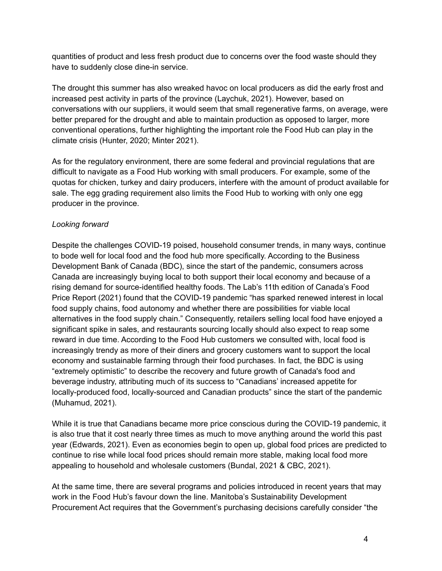quantities of product and less fresh product due to concerns over the food waste should they have to suddenly close dine-in service.

The drought this summer has also wreaked havoc on local producers as did the early frost and increased pest activity in parts of the province (Laychuk, 2021). However, based on conversations with our suppliers, it would seem that small regenerative farms, on average, were better prepared for the drought and able to maintain production as opposed to larger, more conventional operations, further highlighting the important role the Food Hub can play in the climate crisis (Hunter, 2020; Minter 2021).

As for the regulatory environment, there are some federal and provincial regulations that are difficult to navigate as a Food Hub working with small producers. For example, some of the quotas for chicken, turkey and dairy producers, interfere with the amount of product available for sale. The egg grading requirement also limits the Food Hub to working with only one egg producer in the province.

### *Looking forward*

Despite the challenges COVID-19 poised, household consumer trends, in many ways, continue to bode well for local food and the food hub more specifically. According to the Business Development Bank of Canada (BDC), since the start of the pandemic, consumers across Canada are increasingly buying local to both support their local economy and because of a rising demand for source-identified healthy foods. The Lab's 11th edition of Canada's Food Price Report (2021) found that the COVID-19 pandemic "has sparked renewed interest in local food supply chains, food autonomy and whether there are possibilities for viable local alternatives in the food supply chain." Consequently, retailers selling local food have enjoyed a significant spike in sales, and restaurants sourcing locally should also expect to reap some reward in due time. According to the Food Hub customers we consulted with, local food is increasingly trendy as more of their diners and grocery customers want to support the local economy and sustainable farming through their food purchases. In fact, the BDC is using "extremely optimistic" to describe the recovery and future growth of Canada's food and beverage industry, attributing much of its success to "Canadians' increased appetite for locally-produced food, locally-sourced and Canadian products" since the start of the pandemic (Muhamud, 2021).

While it is true that Canadians became more price conscious during the COVID-19 pandemic, it is also true that it cost nearly three times as much to move anything around the world this past year (Edwards, 2021). Even as economies begin to open up, global food prices are predicted to continue to rise while local food prices should remain more stable, making local food more appealing to household and wholesale customers (Bundal, 2021 & CBC, 2021).

At the same time, there are several programs and policies introduced in recent years that may work in the Food Hub's favour down the line. Manitoba's Sustainability Development Procurement Act requires that the Government's purchasing decisions carefully consider "the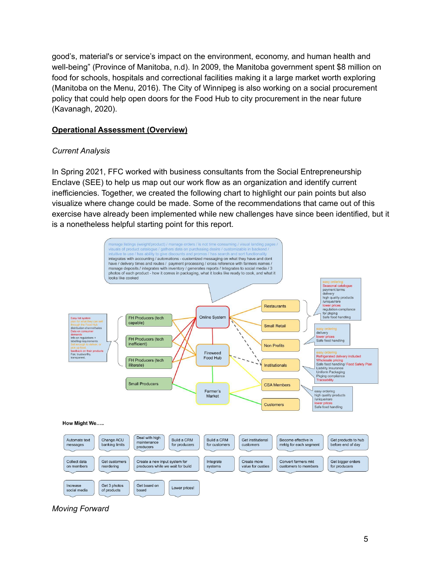good's, material's or service's impact on the environment, economy, and human health and well-being" (Province of Manitoba, n.d). In 2009, the Manitoba government spent \$8 million on food for schools, hospitals and correctional facilities making it a large market worth exploring (Manitoba on the Menu, 2016). The City of Winnipeg is also working on a social procurement policy that could help open doors for the Food Hub to city procurement in the near future (Kavanagh, 2020).

### **Operational Assessment (Overview)**

### *Current Analysis*

In Spring 2021, FFC worked with business consultants from the Social Entrepreneurship Enclave (SEE) to help us map out our work flow as an organization and identify current inefficiencies. Together, we created the following chart to highlight our pain points but also visualize where change could be made. Some of the recommendations that came out of this exercise have already been implemented while new challenges have since been identified, but it is a nonetheless helpful starting point for this report.



*Moving Forward*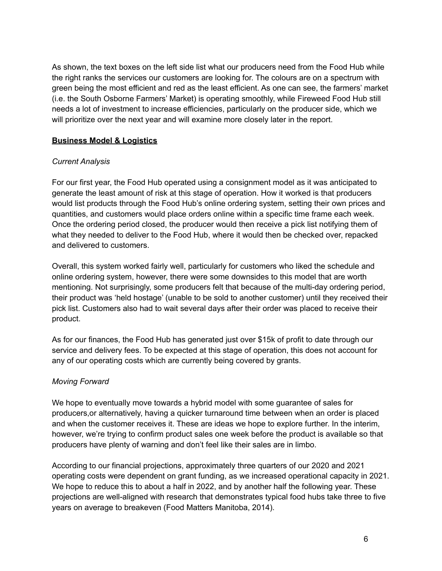As shown, the text boxes on the left side list what our producers need from the Food Hub while the right ranks the services our customers are looking for. The colours are on a spectrum with green being the most efficient and red as the least efficient. As one can see, the farmers' market (i.e. the South Osborne Farmers' Market) is operating smoothly, while Fireweed Food Hub still needs a lot of investment to increase efficiencies, particularly on the producer side, which we will prioritize over the next year and will examine more closely later in the report.

### **Business Model & Logistics**

### *Current Analysis*

For our first year, the Food Hub operated using a consignment model as it was anticipated to generate the least amount of risk at this stage of operation. How it worked is that producers would list products through the Food Hub's online ordering system, setting their own prices and quantities, and customers would place orders online within a specific time frame each week. Once the ordering period closed, the producer would then receive a pick list notifying them of what they needed to deliver to the Food Hub, where it would then be checked over, repacked and delivered to customers.

Overall, this system worked fairly well, particularly for customers who liked the schedule and online ordering system, however, there were some downsides to this model that are worth mentioning. Not surprisingly, some producers felt that because of the multi-day ordering period, their product was 'held hostage' (unable to be sold to another customer) until they received their pick list. Customers also had to wait several days after their order was placed to receive their product.

As for our finances, the Food Hub has generated just over \$15k of profit to date through our service and delivery fees. To be expected at this stage of operation, this does not account for any of our operating costs which are currently being covered by grants.

#### *Moving Forward*

We hope to eventually move towards a hybrid model with some guarantee of sales for producers,or alternatively, having a quicker turnaround time between when an order is placed and when the customer receives it. These are ideas we hope to explore further. In the interim, however, we're trying to confirm product sales one week before the product is available so that producers have plenty of warning and don't feel like their sales are in limbo.

According to our financial projections, approximately three quarters of our 2020 and 2021 operating costs were dependent on grant funding, as we increased operational capacity in 2021. We hope to reduce this to about a half in 2022, and by another half the following year. These projections are well-aligned with research that demonstrates typical food hubs take three to five years on average to breakeven (Food Matters Manitoba, 2014).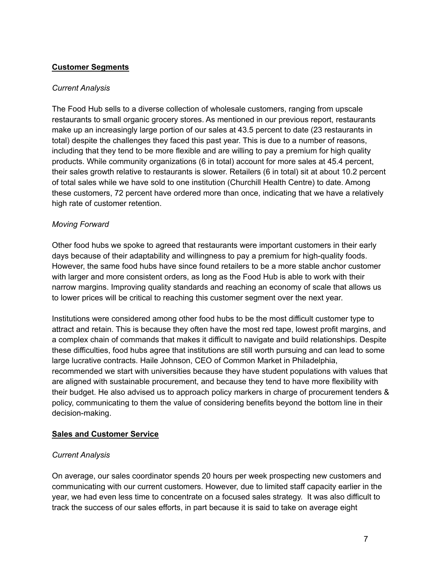### **Customer Segments**

#### *Current Analysis*

The Food Hub sells to a diverse collection of wholesale customers, ranging from upscale restaurants to small organic grocery stores. As mentioned in our previous report, restaurants make up an increasingly large portion of our sales at 43.5 percent to date (23 restaurants in total) despite the challenges they faced this past year. This is due to a number of reasons, including that they tend to be more flexible and are willing to pay a premium for high quality products. While community organizations (6 in total) account for more sales at 45.4 percent, their sales growth relative to restaurants is slower. Retailers (6 in total) sit at about 10.2 percent of total sales while we have sold to one institution (Churchill Health Centre) to date. Among these customers, 72 percent have ordered more than once, indicating that we have a relatively high rate of customer retention.

#### *Moving Forward*

Other food hubs we spoke to agreed that restaurants were important customers in their early days because of their adaptability and willingness to pay a premium for high-quality foods. However, the same food hubs have since found retailers to be a more stable anchor customer with larger and more consistent orders, as long as the Food Hub is able to work with their narrow margins. Improving quality standards and reaching an economy of scale that allows us to lower prices will be critical to reaching this customer segment over the next year.

Institutions were considered among other food hubs to be the most difficult customer type to attract and retain. This is because they often have the most red tape, lowest profit margins, and a complex chain of commands that makes it difficult to navigate and build relationships. Despite these difficulties, food hubs agree that institutions are still worth pursuing and can lead to some large lucrative contracts. Haile Johnson, CEO of Common Market in Philadelphia, recommended we start with universities because they have student populations with values that are aligned with sustainable procurement, and because they tend to have more flexibility with their budget. He also advised us to approach policy markers in charge of procurement tenders & policy, communicating to them the value of considering benefits beyond the bottom line in their decision-making.

#### **Sales and Customer Service**

#### *Current Analysis*

On average, our sales coordinator spends 20 hours per week prospecting new customers and communicating with our current customers. However, due to limited staff capacity earlier in the year, we had even less time to concentrate on a focused sales strategy. It was also difficult to track the success of our sales efforts, in part because it is said to take on average eight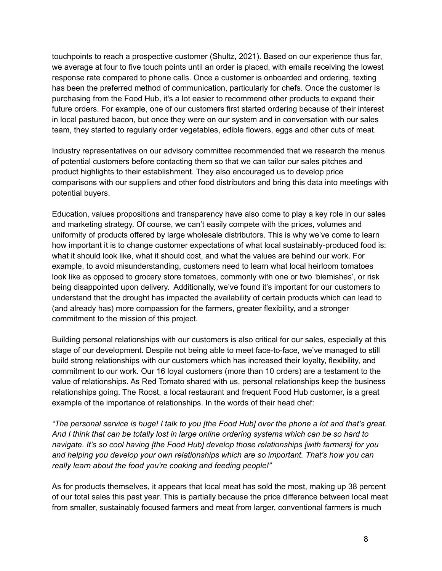touchpoints to reach a prospective customer (Shultz, 2021). Based on our experience thus far, we average at four to five touch points until an order is placed, with emails receiving the lowest response rate compared to phone calls. Once a customer is onboarded and ordering, texting has been the preferred method of communication, particularly for chefs. Once the customer is purchasing from the Food Hub, it's a lot easier to recommend other products to expand their future orders. For example, one of our customers first started ordering because of their interest in local pastured bacon, but once they were on our system and in conversation with our sales team, they started to regularly order vegetables, edible flowers, eggs and other cuts of meat.

Industry representatives on our advisory committee recommended that we research the menus of potential customers before contacting them so that we can tailor our sales pitches and product highlights to their establishment. They also encouraged us to develop price comparisons with our suppliers and other food distributors and bring this data into meetings with potential buyers.

Education, values propositions and transparency have also come to play a key role in our sales and marketing strategy. Of course, we can't easily compete with the prices, volumes and uniformity of products offered by large wholesale distributors. This is why we've come to learn how important it is to change customer expectations of what local sustainably-produced food is: what it should look like, what it should cost, and what the values are behind our work. For example, to avoid misunderstanding, customers need to learn what local heirloom tomatoes look like as opposed to grocery store tomatoes, commonly with one or two 'blemishes', or risk being disappointed upon delivery. Additionally, we've found it's important for our customers to understand that the drought has impacted the availability of certain products which can lead to (and already has) more compassion for the farmers, greater flexibility, and a stronger commitment to the mission of this project.

Building personal relationships with our customers is also critical for our sales, especially at this stage of our development. Despite not being able to meet face-to-face, we've managed to still build strong relationships with our customers which has increased their loyalty, flexibility, and commitment to our work. Our 16 loyal customers (more than 10 orders) are a testament to the value of relationships. As Red Tomato shared with us, personal relationships keep the business relationships going. The Roost, a local restaurant and frequent Food Hub customer, is a great example of the importance of relationships. In the words of their head chef:

"The personal service is huge! I talk to you [the Food Hub] over the phone a lot and that's great. And I think that can be totally lost in large online ordering systems which can be so hard to *navigate. It's so cool having [the Food Hub] develop those relationships [with farmers] for you and helping you develop your own relationships which are so important. That's how you can really learn about the food you're cooking and feeding people!"*

As for products themselves, it appears that local meat has sold the most, making up 38 percent of our total sales this past year. This is partially because the price difference between local meat from smaller, sustainably focused farmers and meat from larger, conventional farmers is much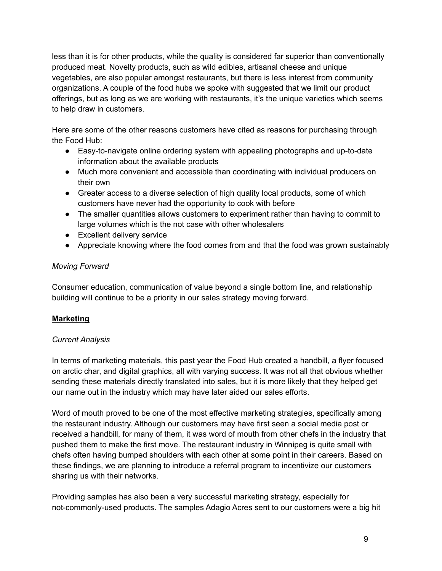less than it is for other products, while the quality is considered far superior than conventionally produced meat. Novelty products, such as wild edibles, artisanal cheese and unique vegetables, are also popular amongst restaurants, but there is less interest from community organizations. A couple of the food hubs we spoke with suggested that we limit our product offerings, but as long as we are working with restaurants, it's the unique varieties which seems to help draw in customers.

Here are some of the other reasons customers have cited as reasons for purchasing through the Food Hub:

- Easy-to-navigate online ordering system with appealing photographs and up-to-date information about the available products
- Much more convenient and accessible than coordinating with individual producers on their own
- Greater access to a diverse selection of high quality local products, some of which customers have never had the opportunity to cook with before
- The smaller quantities allows customers to experiment rather than having to commit to large volumes which is the not case with other wholesalers
- Excellent delivery service
- Appreciate knowing where the food comes from and that the food was grown sustainably

### *Moving Forward*

Consumer education, communication of value beyond a single bottom line, and relationship building will continue to be a priority in our sales strategy moving forward.

### **Marketing**

### *Current Analysis*

In terms of marketing materials, this past year the Food Hub created a handbill, a flyer focused on arctic char, and digital graphics, all with varying success. It was not all that obvious whether sending these materials directly translated into sales, but it is more likely that they helped get our name out in the industry which may have later aided our sales efforts.

Word of mouth proved to be one of the most effective marketing strategies, specifically among the restaurant industry. Although our customers may have first seen a social media post or received a handbill, for many of them, it was word of mouth from other chefs in the industry that pushed them to make the first move. The restaurant industry in Winnipeg is quite small with chefs often having bumped shoulders with each other at some point in their careers. Based on these findings, we are planning to introduce a referral program to incentivize our customers sharing us with their networks.

Providing samples has also been a very successful marketing strategy, especially for not-commonly-used products. The samples Adagio Acres sent to our customers were a big hit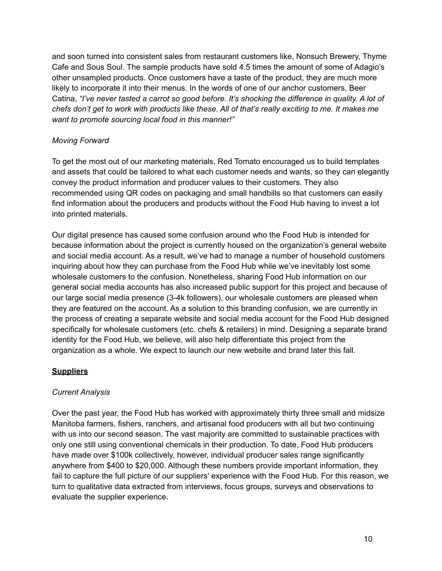and soon turned into consistent sales from restaurant customers like, Nonsuch Brewery, Thyme Cafe and Sous Soul. The sample products have sold 4.5 times the amount of some of Adagio's other unsampled products. Once customers have a taste of the product, they are much more likely to incorporate it into their menus. In the words of one of our anchor customers, Beer Catina, *"I've never tasted a carrot so good before. It's shocking the difference in quality. A lot of* chefs don't get to work with products like these. All of that's really exciting to me. It makes me *want to promote sourcing local food in this manner!"*

## *Moving Forward*

To get the most out of our marketing materials, Red Tomato encouraged us to build templates and assets that could be tailored to what each customer needs and wants, so they can elegantly convey the product information and producer values to their customers. They also recommended using QR codes on packaging and small handbills so that customers can easily find information about the producers and products without the Food Hub having to invest a lot into printed materials.

Our digital presence has caused some confusion around who the Food Hub is intended for because information about the project is currently housed on the organization's general website and social media account. As a result, we've had to manage a number of household customers inquiring about how they can purchase from the Food Hub while we've inevitably lost some wholesale customers to the confusion. Nonetheless, sharing Food Hub information on our general social media accounts has also increased public support for this project and because of our large social media presence (3-4k followers), our wholesale customers are pleased when they are featured on the account. As a solution to this branding confusion, we are currently in the process of creating a separate website and social media account for the Food Hub designed specifically for wholesale customers (etc. chefs & retailers) in mind. Designing a separate brand identity for the Food Hub, we believe, will also help differentiate this project from the organization as a whole. We expect to launch our new website and brand later this fall.

### **Suppliers**

### *Current Analysis*

Over the past year, the Food Hub has worked with approximately thirty three small and midsize Manitoba farmers, fishers, ranchers, and artisanal food producers with all but two continuing with us into our second season. The vast majority are committed to sustainable practices with only one still using conventional chemicals in their production. To date, Food Hub producers have made over \$100k collectively, however, individual producer sales range significantly anywhere from \$400 to \$20,000. Although these numbers provide important information, they fail to capture the full picture of our suppliers' experience with the Food Hub. For this reason, we turn to qualitative data extracted from interviews, focus groups, surveys and observations to evaluate the supplier experience.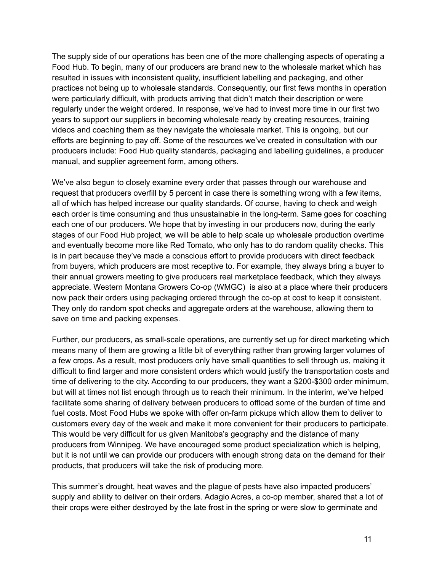The supply side of our operations has been one of the more challenging aspects of operating a Food Hub. To begin, many of our producers are brand new to the wholesale market which has resulted in issues with inconsistent quality, insufficient labelling and packaging, and other practices not being up to wholesale standards. Consequently, our first fews months in operation were particularly difficult, with products arriving that didn't match their description or were regularly under the weight ordered. In response, we've had to invest more time in our first two years to support our suppliers in becoming wholesale ready by creating resources, training videos and coaching them as they navigate the wholesale market. This is ongoing, but our efforts are beginning to pay off. Some of the resources we've created in consultation with our producers include: Food Hub quality standards, packaging and labelling guidelines, a producer manual, and supplier agreement form, among others.

We've also begun to closely examine every order that passes through our warehouse and request that producers overfill by 5 percent in case there is something wrong with a few items, all of which has helped increase our quality standards. Of course, having to check and weigh each order is time consuming and thus unsustainable in the long-term. Same goes for coaching each one of our producers. We hope that by investing in our producers now, during the early stages of our Food Hub project, we will be able to help scale up wholesale production overtime and eventually become more like Red Tomato, who only has to do random quality checks. This is in part because they've made a conscious effort to provide producers with direct feedback from buyers, which producers are most receptive to. For example, they always bring a buyer to their annual growers meeting to give producers real marketplace feedback, which they always appreciate. Western Montana Growers Co-op (WMGC) is also at a place where their producers now pack their orders using packaging ordered through the co-op at cost to keep it consistent. They only do random spot checks and aggregate orders at the warehouse, allowing them to save on time and packing expenses.

Further, our producers, as small-scale operations, are currently set up for direct marketing which means many of them are growing a little bit of everything rather than growing larger volumes of a few crops. As a result, most producers only have small quantities to sell through us, making it difficult to find larger and more consistent orders which would justify the transportation costs and time of delivering to the city. According to our producers, they want a \$200-\$300 order minimum, but will at times not list enough through us to reach their minimum. In the interim, we've helped facilitate some sharing of delivery between producers to offload some of the burden of time and fuel costs. Most Food Hubs we spoke with offer on-farm pickups which allow them to deliver to customers every day of the week and make it more convenient for their producers to participate. This would be very difficult for us given Manitoba's geography and the distance of many producers from Winnipeg. We have encouraged some product specialization which is helping, but it is not until we can provide our producers with enough strong data on the demand for their products, that producers will take the risk of producing more.

This summer's drought, heat waves and the plague of pests have also impacted producers' supply and ability to deliver on their orders. Adagio Acres, a co-op member, shared that a lot of their crops were either destroyed by the late frost in the spring or were slow to germinate and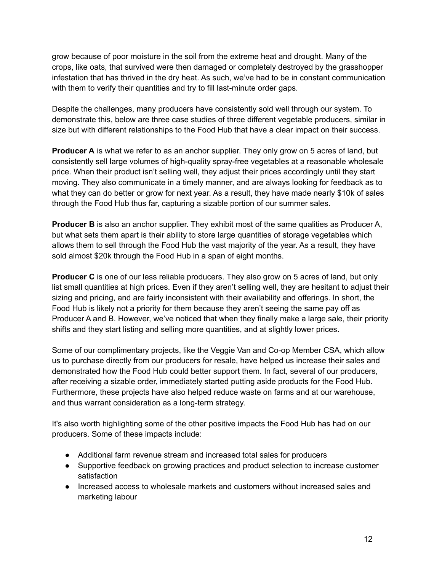grow because of poor moisture in the soil from the extreme heat and drought. Many of the crops, like oats, that survived were then damaged or completely destroyed by the grasshopper infestation that has thrived in the dry heat. As such, we've had to be in constant communication with them to verify their quantities and try to fill last-minute order gaps.

Despite the challenges, many producers have consistently sold well through our system. To demonstrate this, below are three case studies of three different vegetable producers, similar in size but with different relationships to the Food Hub that have a clear impact on their success.

**Producer A** is what we refer to as an anchor supplier. They only grow on 5 acres of land, but consistently sell large volumes of high-quality spray-free vegetables at a reasonable wholesale price. When their product isn't selling well, they adjust their prices accordingly until they start moving. They also communicate in a timely manner, and are always looking for feedback as to what they can do better or grow for next year. As a result, they have made nearly \$10k of sales through the Food Hub thus far, capturing a sizable portion of our summer sales.

**Producer B** is also an anchor supplier. They exhibit most of the same qualities as Producer A, but what sets them apart is their ability to store large quantities of storage vegetables which allows them to sell through the Food Hub the vast majority of the year. As a result, they have sold almost \$20k through the Food Hub in a span of eight months.

**Producer C** is one of our less reliable producers. They also grow on 5 acres of land, but only list small quantities at high prices. Even if they aren't selling well, they are hesitant to adjust their sizing and pricing, and are fairly inconsistent with their availability and offerings. In short, the Food Hub is likely not a priority for them because they aren't seeing the same pay off as Producer A and B. However, we've noticed that when they finally make a large sale, their priority shifts and they start listing and selling more quantities, and at slightly lower prices.

Some of our complimentary projects, like the Veggie Van and Co-op Member CSA, which allow us to purchase directly from our producers for resale, have helped us increase their sales and demonstrated how the Food Hub could better support them. In fact, several of our producers, after receiving a sizable order, immediately started putting aside products for the Food Hub. Furthermore, these projects have also helped reduce waste on farms and at our warehouse, and thus warrant consideration as a long-term strategy.

It's also worth highlighting some of the other positive impacts the Food Hub has had on our producers. Some of these impacts include:

- Additional farm revenue stream and increased total sales for producers
- Supportive feedback on growing practices and product selection to increase customer satisfaction
- Increased access to wholesale markets and customers without increased sales and marketing labour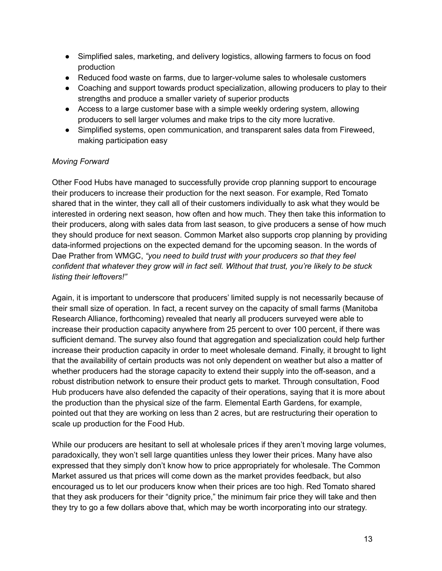- Simplified sales, marketing, and delivery logistics, allowing farmers to focus on food production
- Reduced food waste on farms, due to larger-volume sales to wholesale customers
- Coaching and support towards product specialization, allowing producers to play to their strengths and produce a smaller variety of superior products
- Access to a large customer base with a simple weekly ordering system, allowing producers to sell larger volumes and make trips to the city more lucrative.
- Simplified systems, open communication, and transparent sales data from Fireweed, making participation easy

### *Moving Forward*

Other Food Hubs have managed to successfully provide crop planning support to encourage their producers to increase their production for the next season. For example, Red Tomato shared that in the winter, they call all of their customers individually to ask what they would be interested in ordering next season, how often and how much. They then take this information to their producers, along with sales data from last season, to give producers a sense of how much they should produce for next season. Common Market also supports crop planning by providing data-informed projections on the expected demand for the upcoming season. In the words of Dae Prather from WMGC, *"you need to build trust with your producers so that they feel confident that whatever they grow will in fact sell. Without that trust, you're likely to be stuck listing their leftovers!"*

Again, it is important to underscore that producers' limited supply is not necessarily because of their small size of operation. In fact, a recent survey on the capacity of small farms (Manitoba Research Alliance, forthcoming) revealed that nearly all producers surveyed were able to increase their production capacity anywhere from 25 percent to over 100 percent, if there was sufficient demand. The survey also found that aggregation and specialization could help further increase their production capacity in order to meet wholesale demand. Finally, it brought to light that the availability of certain products was not only dependent on weather but also a matter of whether producers had the storage capacity to extend their supply into the off-season, and a robust distribution network to ensure their product gets to market. Through consultation, Food Hub producers have also defended the capacity of their operations, saying that it is more about the production than the physical size of the farm. Elemental Earth Gardens, for example, pointed out that they are working on less than 2 acres, but are restructuring their operation to scale up production for the Food Hub.

While our producers are hesitant to sell at wholesale prices if they aren't moving large volumes, paradoxically, they won't sell large quantities unless they lower their prices. Many have also expressed that they simply don't know how to price appropriately for wholesale. The Common Market assured us that prices will come down as the market provides feedback, but also encouraged us to let our producers know when their prices are too high. Red Tomato shared that they ask producers for their "dignity price," the minimum fair price they will take and then they try to go a few dollars above that, which may be worth incorporating into our strategy.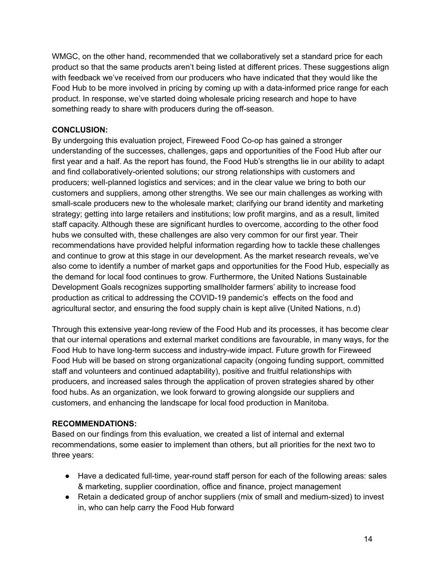WMGC, on the other hand, recommended that we collaboratively set a standard price for each product so that the same products aren't being listed at different prices. These suggestions align with feedback we've received from our producers who have indicated that they would like the Food Hub to be more involved in pricing by coming up with a data-informed price range for each product. In response, we've started doing wholesale pricing research and hope to have something ready to share with producers during the off-season.

## **CONCLUSION:**

By undergoing this evaluation project, Fireweed Food Co-op has gained a stronger understanding of the successes, challenges, gaps and opportunities of the Food Hub after our first year and a half. As the report has found, the Food Hub's strengths lie in our ability to adapt and find collaboratively-oriented solutions; our strong relationships with customers and producers; well-planned logistics and services; and in the clear value we bring to both our customers and suppliers, among other strengths. We see our main challenges as working with small-scale producers new to the wholesale market; clarifying our brand identity and marketing strategy; getting into large retailers and institutions; low profit margins, and as a result, limited staff capacity. Although these are significant hurdles to overcome, according to the other food hubs we consulted with, these challenges are also very common for our first year. Their recommendations have provided helpful information regarding how to tackle these challenges and continue to grow at this stage in our development. As the market research reveals, we've also come to identify a number of market gaps and opportunities for the Food Hub, especially as the demand for local food continues to grow. Furthermore, the United Nations Sustainable Development Goals recognizes supporting smallholder farmers' ability to increase food production as critical to addressing the COVID-19 pandemic's effects on the food and agricultural sector, and ensuring the food supply chain is kept alive (United Nations, n.d)

Through this extensive year-long review of the Food Hub and its processes, it has become clear that our internal operations and external market conditions are favourable, in many ways, for the Food Hub to have long-term success and industry-wide impact. Future growth for Fireweed Food Hub will be based on strong organizational capacity (ongoing funding support, committed staff and volunteers and continued adaptability), positive and fruitful relationships with producers, and increased sales through the application of proven strategies shared by other food hubs. As an organization, we look forward to growing alongside our suppliers and customers, and enhancing the landscape for local food production in Manitoba.

### **RECOMMENDATIONS:**

Based on our findings from this evaluation, we created a list of internal and external recommendations, some easier to implement than others, but all priorities for the next two to three years:

- Have a dedicated full-time, year-round staff person for each of the following areas: sales & marketing, supplier coordination, office and finance, project management
- Retain a dedicated group of anchor suppliers (mix of small and medium-sized) to invest in, who can help carry the Food Hub forward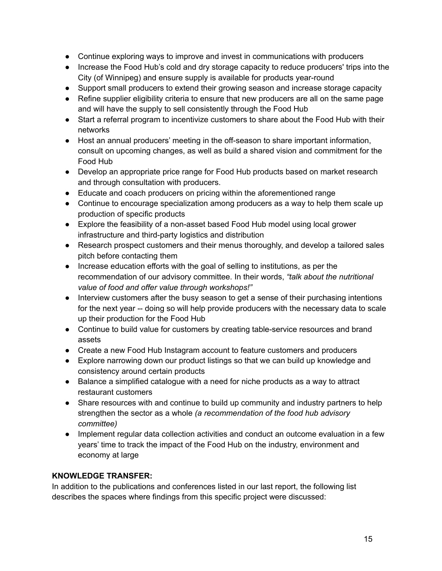- Continue exploring ways to improve and invest in communications with producers
- Increase the Food Hub's cold and dry storage capacity to reduce producers' trips into the City (of Winnipeg) and ensure supply is available for products year-round
- Support small producers to extend their growing season and increase storage capacity
- Refine supplier eligibility criteria to ensure that new producers are all on the same page and will have the supply to sell consistently through the Food Hub
- Start a referral program to incentivize customers to share about the Food Hub with their networks
- Host an annual producers' meeting in the off-season to share important information, consult on upcoming changes, as well as build a shared vision and commitment for the Food Hub
- Develop an appropriate price range for Food Hub products based on market research and through consultation with producers.
- Educate and coach producers on pricing within the aforementioned range
- Continue to encourage specialization among producers as a way to help them scale up production of specific products
- Explore the feasibility of a non-asset based Food Hub model using local grower infrastructure and third-party logistics and distribution
- Research prospect customers and their menus thoroughly, and develop a tailored sales pitch before contacting them
- Increase education efforts with the goal of selling to institutions, as per the recommendation of our advisory committee. In their words, *"talk about the nutritional value of food and offer value through workshops!"*
- Interview customers after the busy season to get a sense of their purchasing intentions for the next year -- doing so will help provide producers with the necessary data to scale up their production for the Food Hub
- Continue to build value for customers by creating table-service resources and brand assets
- Create a new Food Hub Instagram account to feature customers and producers
- Explore narrowing down our product listings so that we can build up knowledge and consistency around certain products
- Balance a simplified catalogue with a need for niche products as a way to attract restaurant customers
- Share resources with and continue to build up community and industry partners to help strengthen the sector as a whole *(a recommendation of the food hub advisory committee)*
- Implement regular data collection activities and conduct an outcome evaluation in a few years' time to track the impact of the Food Hub on the industry, environment and economy at large

## **KNOWLEDGE TRANSFER:**

In addition to the publications and conferences listed in our last report, the following list describes the spaces where findings from this specific project were discussed: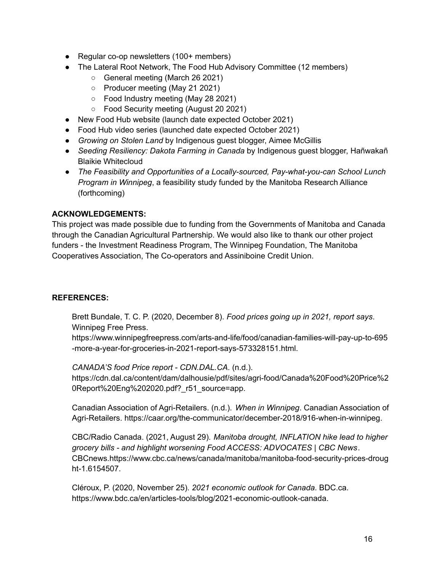- Regular co-op newsletters (100+ members)
- The Lateral Root Network, The Food Hub Advisory Committee (12 members)
	- General meeting (March 26 2021)
	- Producer meeting (May 21 2021)
	- Food Industry meeting (May 28 2021)
	- Food Security meeting (August 20 2021)
- New Food Hub website (launch date expected October 2021)
- Food Hub video series (launched date expected October 2021)
- *Growing on Stolen Land* by Indigenous guest blogger, Aimee McGillis
- *Seeding Resiliency: Dakota Farming in Canada* by Indigenous guest blogger, Hañwakañ Blaikie Whitecloud
- *The Feasibility and Opportunities of a Locally-sourced, Pay-what-you-can School Lunch Program in Winnipeg*, a feasibility study funded by the Manitoba Research Alliance (forthcoming)

### **ACKNOWLEDGEMENTS:**

This project was made possible due to funding from the Governments of Manitoba and Canada through the Canadian Agricultural Partnership. We would also like to thank our other project funders - the Investment Readiness Program, The Winnipeg Foundation, The Manitoba Cooperatives Association, The Co-operators and Assiniboine Credit Union.

#### **REFERENCES:**

Brett Bundale, T. C. P. (2020, December 8). *Food prices going up in 2021, report says*. Winnipeg Free Press.

https://www.winnipegfreepress.com/arts-and-life/food/canadian-families-will-pay-up-to-695 -more-a-year-for-groceries-in-2021-report-says-573328151.html.

#### *CANADA'S food Price report - CDN.DAL.CA*. (n.d.).

https://cdn.dal.ca/content/dam/dalhousie/pdf/sites/agri-food/Canada%20Food%20Price%2 0Report%20Eng%202020.pdf?\_r51\_source=app.

Canadian Association of Agri-Retailers. (n.d.). *When in Winnipeg*. Canadian Association of Agri-Retailers. https://caar.org/the-communicator/december-2018/916-when-in-winnipeg.

CBC/Radio Canada. (2021, August 29). *Manitoba drought, INFLATION hike lead to higher grocery bills - and highlight worsening Food ACCESS: ADVOCATES | CBC News*. CBCnews.https://www.cbc.ca/news/canada/manitoba/manitoba-food-security-prices-droug ht-1.6154507.

Cléroux, P. (2020, November 25). *2021 economic outlook for Canada*. BDC.ca. https://www.bdc.ca/en/articles-tools/blog/2021-economic-outlook-canada.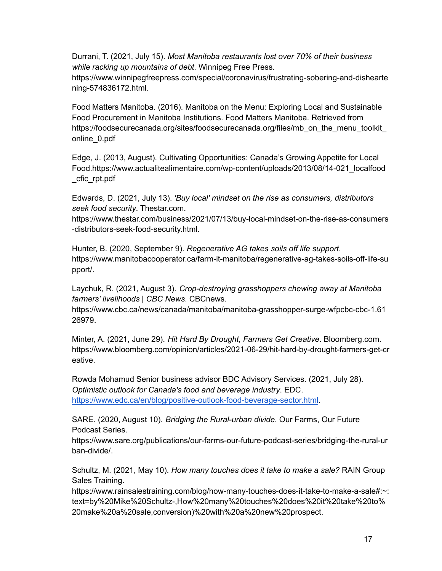Durrani, T. (2021, July 15). *Most Manitoba restaurants lost over 70% of their business while racking up mountains of debt*. Winnipeg Free Press.

https://www.winnipegfreepress.com/special/coronavirus/frustrating-sobering-and-dishearte ning-574836172.html.

Food Matters Manitoba. (2016). Manitoba on the Menu: Exploring Local and Sustainable Food Procurement in Manitoba Institutions. Food Matters Manitoba. Retrieved from https://foodsecurecanada.org/sites/foodsecurecanada.org/files/mb\_on\_the\_menu\_toolkit\_ online\_0.pdf

Edge, J. (2013, August). Cultivating Opportunities: Canada's Growing Appetite for Local Food.https://www.actualitealimentaire.com/wp-content/uploads/2013/08/14-021\_localfood \_cfic\_rpt.pdf

Edwards, D. (2021, July 13). *'Buy local' mindset on the rise as consumers, distributors seek food security*. Thestar.com.

https://www.thestar.com/business/2021/07/13/buy-local-mindset-on-the-rise-as-consumers -distributors-seek-food-security.html.

Hunter, B. (2020, September 9). *Regenerative AG takes soils off life support*. https://www.manitobacooperator.ca/farm-it-manitoba/regenerative-ag-takes-soils-off-life-su pport/.

Laychuk, R. (2021, August 3). *Crop-destroying grasshoppers chewing away at Manitoba farmers' livelihoods | CBC News*. CBCnews.

https://www.cbc.ca/news/canada/manitoba/manitoba-grasshopper-surge-wfpcbc-cbc-1.61 26979.

Minter, A. (2021, June 29). *Hit Hard By Drought, Farmers Get Creative*. Bloomberg.com. https://www.bloomberg.com/opinion/articles/2021-06-29/hit-hard-by-drought-farmers-get-cr eative.

Rowda Mohamud Senior business advisor BDC Advisory Services. (2021, July 28). *Optimistic outlook for Canada's food and beverage industry*. EDC. <https://www.edc.ca/en/blog/positive-outlook-food-beverage-sector.html>.

SARE. (2020, August 10). *Bridging the Rural-urban divide*. Our Farms, Our Future Podcast Series.

https://www.sare.org/publications/our-farms-our-future-podcast-series/bridging-the-rural-ur ban-divide/.

Schultz, M. (2021, May 10). *How many touches does it take to make a sale?* RAIN Group Sales Training.

https://www.rainsalestraining.com/blog/how-many-touches-does-it-take-to-make-a-sale#:~: text=by%20Mike%20Schultz-,How%20many%20touches%20does%20it%20take%20to% 20make%20a%20sale,conversion)%20with%20a%20new%20prospect.